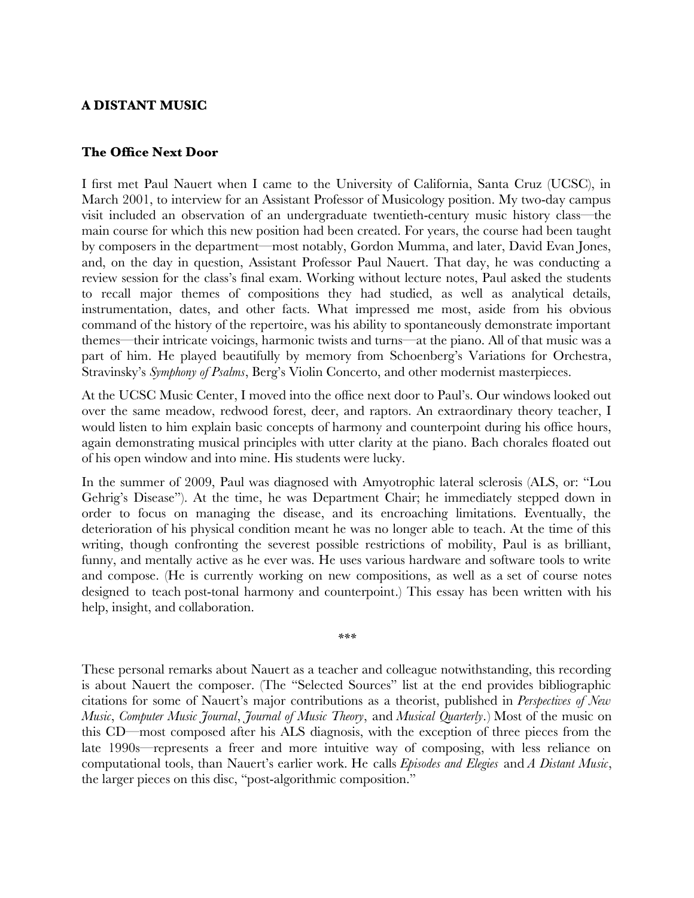# **A DISTANT MUSIC**

# **The Office Next Door**

I frst met Paul Nauert when I came to the University of California, Santa Cruz (UCSC), in March 2001, to interview for an Assistant Professor of Musicology position. My two-day campus visit included an observation of an undergraduate twentieth-century music history class—the main course for which this new position had been created. For years, the course had been taught by composers in the department—most notably, Gordon Mumma, and later, David Evan Jones, and, on the day in question, Assistant Professor Paul Nauert. That day, he was conducting a review session for the class's fnal exam. Working without lecture notes, Paul asked the students to recall major themes of compositions they had studied, as well as analytical details, instrumentation, dates, and other facts. What impressed me most, aside from his obvious command of the history of the repertoire, was his ability to spontaneously demonstrate important themes—their intricate voicings, harmonic twists and turns—at the piano. All of that music was a part of him. He played beautifully by memory from Schoenberg's Variations for Orchestra, Stravinsky's *Symphony of Psalms*, Berg's Violin Concerto, and other modernist masterpieces.

At the UCSC Music Center, I moved into the office next door to Paul's. Our windows looked out over the same meadow, redwood forest, deer, and raptors. An extraordinary theory teacher, I would listen to him explain basic concepts of harmony and counterpoint during his office hours, again demonstrating musical principles with utter clarity at the piano. Bach chorales foated out of his open window and into mine. His students were lucky.

In the summer of 2009, Paul was diagnosed with Amyotrophic lateral sclerosis (ALS, or: "Lou Gehrig's Disease"). At the time, he was Department Chair; he immediately stepped down in order to focus on managing the disease, and its encroaching limitations. Eventually, the deterioration of his physical condition meant he was no longer able to teach. At the time of this writing, though confronting the severest possible restrictions of mobility, Paul is as brilliant, funny, and mentally active as he ever was. He uses various hardware and software tools to write and compose. (He is currently working on new compositions, as well as a set of course notes designed to teach post-tonal harmony and counterpoint.) This essay has been written with his help, insight, and collaboration.

*\*\*\**

These personal remarks about Nauert as a teacher and colleague notwithstanding, this recording is about Nauert the composer. (The "Selected Sources" list at the end provides bibliographic citations for some of Nauert's major contributions as a theorist, published in *Perspectives of New Music*, *Computer Music Journal*, *Journal of Music Theory*, and *Musical Quarterly*.) Most of the music on this CD—most composed after his ALS diagnosis, with the exception of three pieces from the late 1990s—represents a freer and more intuitive way of composing, with less reliance on computational tools, than Nauert's earlier work. He calls *Episodes and Elegies* and *A Distant Music*, the larger pieces on this disc, "post-algorithmic composition."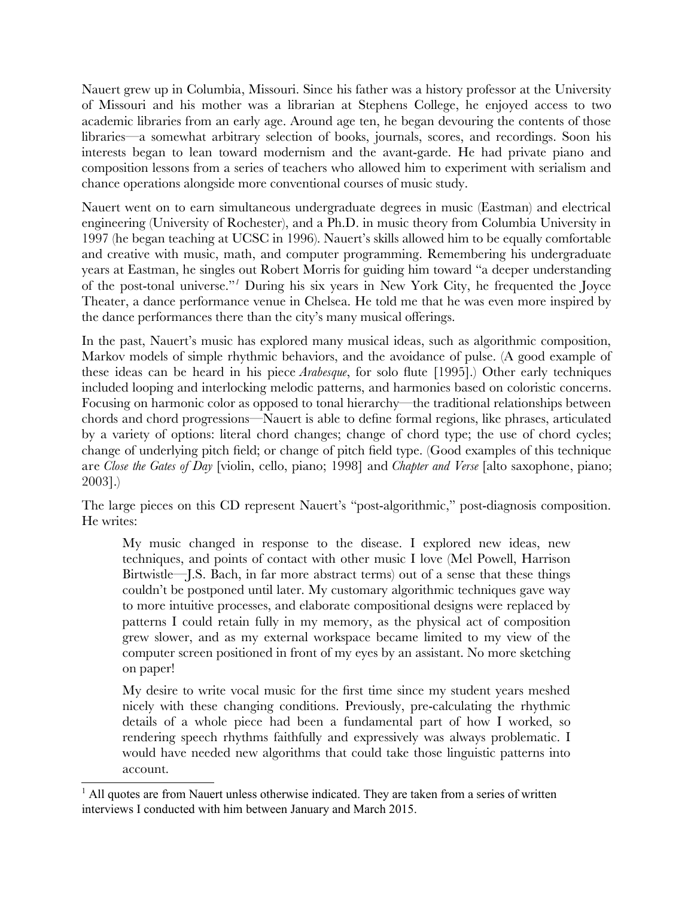Nauert grew up in Columbia, Missouri. Since his father was a history professor at the University of Missouri and his mother was a librarian at Stephens College, he enjoyed access to two academic libraries from an early age. Around age ten, he began devouring the contents of those libraries—a somewhat arbitrary selection of books, journals, scores, and recordings. Soon his interests began to lean toward modernism and the avant-garde. He had private piano and composition lessons from a series of teachers who allowed him to experiment with serialism and chance operations alongside more conventional courses of music study.

Nauert went on to earn simultaneous undergraduate degrees in music (Eastman) and electrical engineering (University of Rochester), and a Ph.D. in music theory from Columbia University in 1997 (he began teaching at UCSC in 1996). Nauert's skills allowed him to be equally comfortable and creative with music, math, and computer programming. Remembering his undergraduate years at Eastman, he singles out Robert Morris for guiding him toward "a deeper understanding of the post-tonal universe."*[1](#page-1-0)* During his six years in New York City, he frequented the Joyce Theater, a dance performance venue in Chelsea. He told me that he was even more inspired by the dance performances there than the city's many musical offerings.

In the past, Nauert's music has explored many musical ideas, such as algorithmic composition, Markov models of simple rhythmic behaviors, and the avoidance of pulse. (A good example of these ideas can be heard in his piece *Arabesque*, for solo fute [1995].) Other early techniques included looping and interlocking melodic patterns, and harmonies based on coloristic concerns. Focusing on harmonic color as opposed to tonal hierarchy—the traditional relationships between chords and chord progressions—Nauert is able to defne formal regions, like phrases, articulated by a variety of options: literal chord changes; change of chord type; the use of chord cycles; change of underlying pitch feld; or change of pitch feld type. (Good examples of this technique are *Close the Gates of Day* [violin, cello, piano; 1998] and *Chapter and Verse* [alto saxophone, piano; 2003].)

The large pieces on this CD represent Nauert's "post-algorithmic," post-diagnosis composition. He writes:

My music changed in response to the disease. I explored new ideas, new techniques, and points of contact with other music I love (Mel Powell, Harrison Birtwistle—J.S. Bach, in far more abstract terms) out of a sense that these things couldn't be postponed until later. My customary algorithmic techniques gave way to more intuitive processes, and elaborate compositional designs were replaced by patterns I could retain fully in my memory, as the physical act of composition grew slower, and as my external workspace became limited to my view of the computer screen positioned in front of my eyes by an assistant. No more sketching on paper!

My desire to write vocal music for the frst time since my student years meshed nicely with these changing conditions. Previously, pre-calculating the rhythmic details of a whole piece had been a fundamental part of how I worked, so rendering speech rhythms faithfully and expressively was always problematic. I would have needed new algorithms that could take those linguistic patterns into account.

<span id="page-1-0"></span><sup>&</sup>lt;sup>1</sup> All quotes are from Nauert unless otherwise indicated. They are taken from a series of written interviews I conducted with him between January and March 2015.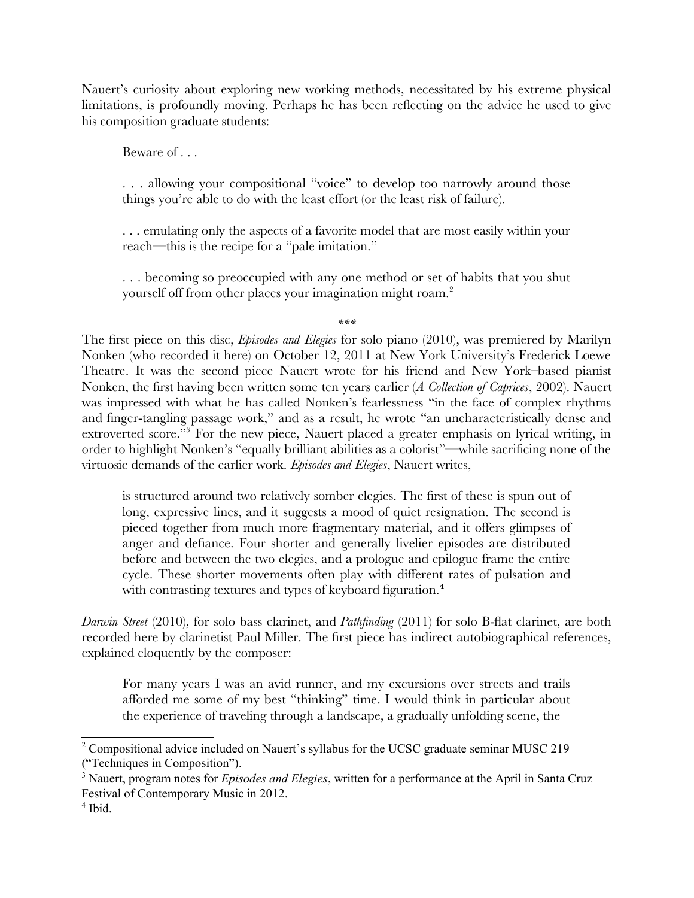Nauert's curiosity about exploring new working methods, necessitated by his extreme physical limitations, is profoundly moving. Perhaps he has been refecting on the advice he used to give his composition graduate students:

Beware of . . .

. . . allowing your compositional "voice" to develop too narrowly around those things you're able to do with the least effort (or the least risk of failure).

. . . emulating only the aspects of a favorite model that are most easily within your reach—this is the recipe for a "pale imitation."

. . . becoming so preoccupied with any one method or set of habits that you shut yourself off from other places your imagination might roam.<sup>[2](#page-2-0)</sup>

*\*\*\**

The frst piece on this disc, *Episodes and Elegies* for solo piano (2010), was premiered by Marilyn Nonken (who recorded it here) on October 12, 2011 at New York University's Frederick Loewe Theatre. It was the second piece Nauert wrote for his friend and New York–based pianist Nonken, the frst having been written some ten years earlier (*A Collection of Caprices*, 2002). Nauert was impressed with what he has called Nonken's fearlessness "in the face of complex rhythms and fnger-tangling passage work," and as a result, he wrote "an uncharacteristically dense and extroverted score."<sup>[3](#page-2-1)</sup> For the new piece, Nauert placed a greater emphasis on lyrical writing, in order to highlight Nonken's "equally brilliant abilities as a colorist"—while sacrifcing none of the virtuosic demands of the earlier work. *Episodes and Elegies*, Nauert writes,

is structured around two relatively somber elegies. The frst of these is spun out of long, expressive lines, and it suggests a mood of quiet resignation. The second is pieced together from much more fragmentary material, and it offers glimpses of anger and defance. Four shorter and generally livelier episodes are distributed before and between the two elegies, and a prologue and epilogue frame the entire cycle. These shorter movements often play with different rates of pulsation and with contrasting textures and types of keyboard figuration.<sup>[4](#page-2-2)</sup>

*Darwin Street* (2010), for solo bass clarinet, and *Pathfnding* (2011) for solo B-fat clarinet, are both recorded here by clarinetist Paul Miller. The frst piece has indirect autobiographical references, explained eloquently by the composer:

For many years I was an avid runner, and my excursions over streets and trails afforded me some of my best "thinking" time. I would think in particular about the experience of traveling through a landscape, a gradually unfolding scene, the

<span id="page-2-0"></span><sup>&</sup>lt;sup>2</sup> Compositional advice included on Nauert's syllabus for the UCSC graduate seminar MUSC 219 ("Techniques in Composition").

<span id="page-2-1"></span><sup>3</sup> Nauert, program notes for *Episodes and Elegies*, written for a performance at the April in Santa Cruz Festival of Contemporary Music in 2012.

<span id="page-2-2"></span><sup>4</sup> Ibid.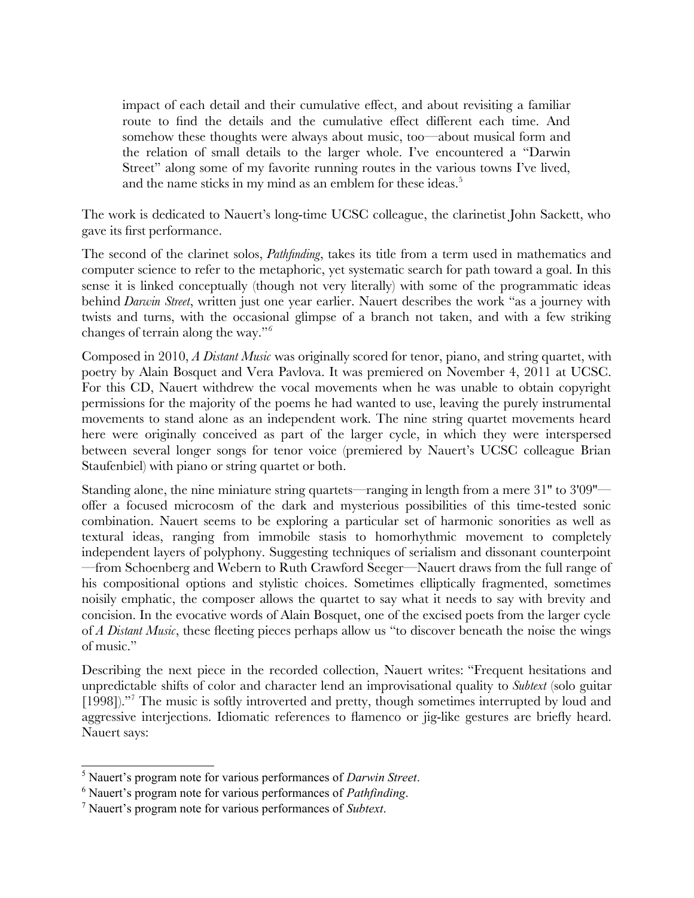impact of each detail and their cumulative effect, and about revisiting a familiar route to fnd the details and the cumulative effect different each time. And somehow these thoughts were always about music, too—about musical form and the relation of small details to the larger whole. I've encountered a "Darwin Street" along some of my favorite running routes in the various towns I've lived, and the name sticks in my mind as an emblem for these ideas.<sup>[5](#page-3-0)</sup>

The work is dedicated to Nauert's long-time UCSC colleague, the clarinetist John Sackett, who gave its frst performance.

The second of the clarinet solos, *Pathfnding*, takes its title from a term used in mathematics and computer science to refer to the metaphoric, yet systematic search for path toward a goal. In this sense it is linked conceptually (though not very literally) with some of the programmatic ideas behind *Darwin Street*, written just one year earlier. Nauert describes the work "as a journey with twists and turns, with the occasional glimpse of a branch not taken, and with a few striking changes of terrain along the way."*[6](#page-3-1)*

Composed in 2010, *A Distant Music* was originally scored for tenor, piano, and string quartet, with poetry by Alain Bosquet and Vera Pavlova. It was premiered on November 4, 2011 at UCSC. For this CD, Nauert withdrew the vocal movements when he was unable to obtain copyright permissions for the majority of the poems he had wanted to use, leaving the purely instrumental movements to stand alone as an independent work. The nine string quartet movements heard here were originally conceived as part of the larger cycle, in which they were interspersed between several longer songs for tenor voice (premiered by Nauert's UCSC colleague Brian Staufenbiel) with piano or string quartet or both.

Standing alone, the nine miniature string quartets—ranging in length from a mere 31'' to 3'09'' offer a focused microcosm of the dark and mysterious possibilities of this time-tested sonic combination. Nauert seems to be exploring a particular set of harmonic sonorities as well as textural ideas, ranging from immobile stasis to homorhythmic movement to completely independent layers of polyphony. Suggesting techniques of serialism and dissonant counterpoint —from Schoenberg and Webern to Ruth Crawford Seeger—Nauert draws from the full range of his compositional options and stylistic choices. Sometimes elliptically fragmented, sometimes noisily emphatic, the composer allows the quartet to say what it needs to say with brevity and concision. In the evocative words of Alain Bosquet, one of the excised poets from the larger cycle of *A Distant Music*, these feeting pieces perhaps allow us "to discover beneath the noise the wings of music."

Describing the next piece in the recorded collection, Nauert writes: "Frequent hesitations and unpredictable shifts of color and character lend an improvisational quality to *Subtext* (solo guitar [1998])."[7](#page-3-2) The music is softly introverted and pretty, though sometimes interrupted by loud and aggressive interjections. Idiomatic references to famenco or jig-like gestures are briefy heard. Nauert says:

<span id="page-3-0"></span><sup>5</sup> Nauert's program note for various performances of *Darwin Street*.

<span id="page-3-1"></span><sup>6</sup> Nauert's program note for various performances of *Pathfinding*.

<span id="page-3-2"></span><sup>7</sup> Nauert's program note for various performances of *Subtext*.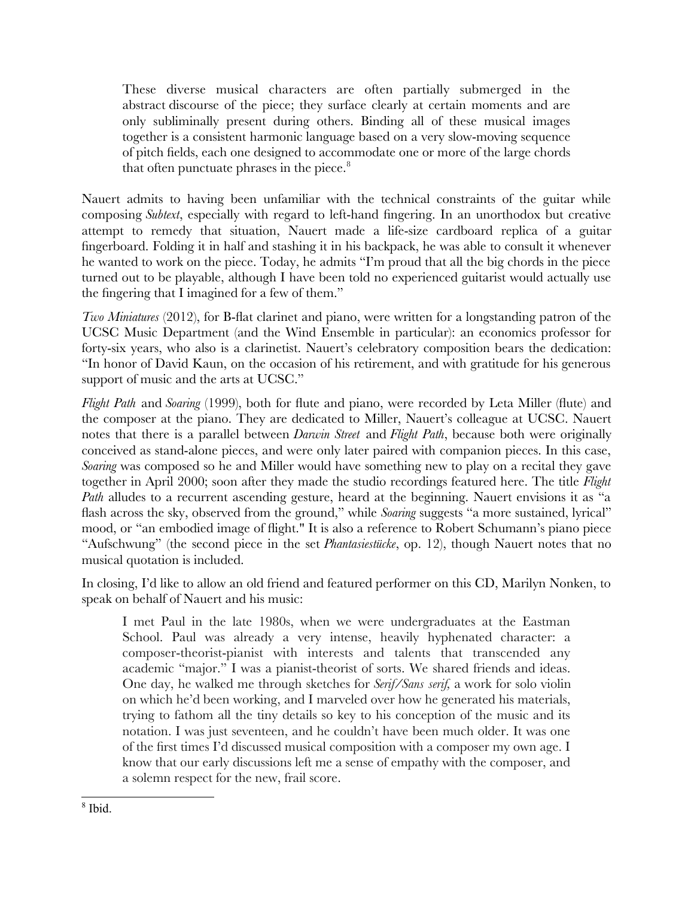These diverse musical characters are often partially submerged in the abstract discourse of the piece; they surface clearly at certain moments and are only subliminally present during others. Binding all of these musical images together is a consistent harmonic language based on a very slow-moving sequence of pitch felds, each one designed to accommodate one or more of the large chords that often punctuate phrases in the piece. $8$ 

Nauert admits to having been unfamiliar with the technical constraints of the guitar while composing *Subtext*, especially with regard to left-hand fngering. In an unorthodox but creative attempt to remedy that situation, Nauert made a life-size cardboard replica of a guitar fngerboard. Folding it in half and stashing it in his backpack, he was able to consult it whenever he wanted to work on the piece. Today, he admits "I'm proud that all the big chords in the piece turned out to be playable, although I have been told no experienced guitarist would actually use the fngering that I imagined for a few of them."

*Two Miniatures* (2012), for B-fat clarinet and piano, were written for a longstanding patron of the UCSC Music Department (and the Wind Ensemble in particular): an economics professor for forty-six years, who also is a clarinetist. Nauert's celebratory composition bears the dedication: "In honor of David Kaun, on the occasion of his retirement, and with gratitude for his generous support of music and the arts at UCSC."

*Flight Path* and *Soaring* (1999), both for fute and piano, were recorded by Leta Miller (fute) and the composer at the piano. They are dedicated to Miller, Nauert's colleague at UCSC. Nauert notes that there is a parallel between *Darwin Street* and *Flight Path*, because both were originally conceived as stand-alone pieces, and were only later paired with companion pieces. In this case, *Soaring* was composed so he and Miller would have something new to play on a recital they gave together in April 2000; soon after they made the studio recordings featured here. The title *Flight Path* alludes to a recurrent ascending gesture, heard at the beginning. Nauert envisions it as "a fash across the sky, observed from the ground," while *Soaring* suggests "a more sustained, lyrical" mood, or "an embodied image of fight." It is also a reference to Robert Schumann's piano piece "Aufschwung" (the second piece in the set *Phantasiestücke*, op. 12), though Nauert notes that no musical quotation is included.

In closing, I'd like to allow an old friend and featured performer on this CD, Marilyn Nonken, to speak on behalf of Nauert and his music:

I met Paul in the late 1980s, when we were undergraduates at the Eastman School. Paul was already a very intense, heavily hyphenated character: a composer-theorist-pianist with interests and talents that transcended any academic "major." I was a pianist-theorist of sorts. We shared friends and ideas. One day, he walked me through sketches for *Serif/Sans serif,* a work for solo violin on which he'd been working, and I marveled over how he generated his materials, trying to fathom all the tiny details so key to his conception of the music and its notation. I was just seventeen, and he couldn't have been much older. It was one of the frst times I'd discussed musical composition with a composer my own age. I know that our early discussions left me a sense of empathy with the composer, and a solemn respect for the new, frail score.

<span id="page-4-0"></span><sup>8</sup> Ibid.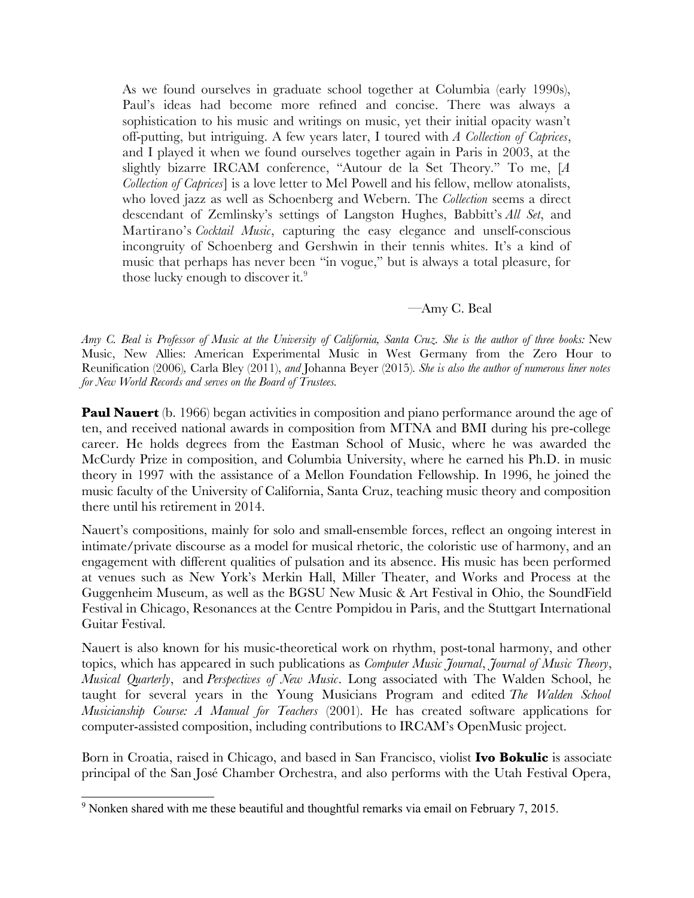As we found ourselves in graduate school together at Columbia (early 1990s), Paul's ideas had become more refned and concise. There was always a sophistication to his music and writings on music, yet their initial opacity wasn't off-putting, but intriguing. A few years later, I toured with *A Collection of Caprices*, and I played it when we found ourselves together again in Paris in 2003, at the slightly bizarre IRCAM conference, "Autour de la Set Theory." To me, [*A Collection of Caprices*] is a love letter to Mel Powell and his fellow, mellow atonalists, who loved jazz as well as Schoenberg and Webern. The *Collection* seems a direct descendant of Zemlinsky's settings of Langston Hughes, Babbitt's *All Set*, and Martirano's *Cocktail Music*, capturing the easy elegance and unself-conscious incongruity of Schoenberg and Gershwin in their tennis whites. It's a kind of music that perhaps has never been "in vogue," but is always a total pleasure, for those lucky enough to discover it.<sup>[9](#page-5-0)</sup>

# —Amy C. Beal

*Amy C. Beal is Professor of Music at the University of California, Santa Cruz. She is the author of three books:* New Music, New Allies: American Experimental Music in West Germany from the Zero Hour to Reunifcation (2006)*,* Carla Bley (2011), *and* Johanna Beyer (2015)*. She is also the author of numerous liner notes for New World Records and serves on the Board of Trustees.* 

**Paul Nauert** (b. 1966) began activities in composition and piano performance around the age of ten, and received national awards in composition from MTNA and BMI during his pre-college career. He holds degrees from the Eastman School of Music, where he was awarded the McCurdy Prize in composition, and Columbia University, where he earned his Ph.D. in music theory in 1997 with the assistance of a Mellon Foundation Fellowship. In 1996, he joined the music faculty of the University of California, Santa Cruz, teaching music theory and composition there until his retirement in 2014.

Nauert's compositions, mainly for solo and small-ensemble forces, refect an ongoing interest in intimate/private discourse as a model for musical rhetoric, the coloristic use of harmony, and an engagement with different qualities of pulsation and its absence. His music has been performed at venues such as New York's Merkin Hall, Miller Theater, and Works and Process at the Guggenheim Museum, as well as the BGSU New Music & Art Festival in Ohio, the SoundField Festival in Chicago, Resonances at the Centre Pompidou in Paris, and the Stuttgart International Guitar Festival.

Nauert is also known for his music-theoretical work on rhythm, post-tonal harmony, and other topics, which has appeared in such publications as *Computer Music Journal*, *Journal of Music Theory*, *Musical Quarterly*, and *Perspectives of New Music*. Long associated with The Walden School, he taught for several years in the Young Musicians Program and edited *The Walden School Musicianship Course: A Manual for Teachers* (2001). He has created software applications for computer-assisted composition, including contributions to IRCAM's OpenMusic project.

Born in Croatia, raised in Chicago, and based in San Francisco, violist **Ivo Bokulic** is associate principal of the San José Chamber Orchestra, and also performs with the Utah Festival Opera,

<span id="page-5-0"></span> $9$  Nonken shared with me these beautiful and thoughtful remarks via email on February 7, 2015.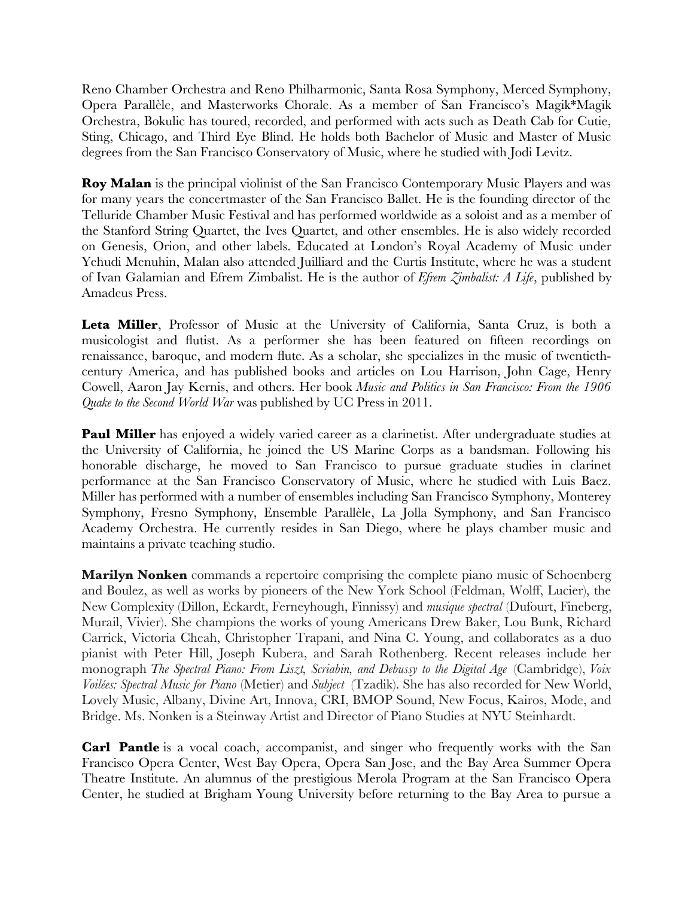Reno Chamber Orchestra and Reno Philharmonic, Santa Rosa Symphony, Merced Symphony, Opera Parallèle, and Masterworks Chorale. As a member of San Francisco's Magik\*Magik Orchestra, Bokulic has toured, recorded, and performed with acts such as Death Cab for Cutie, Sting, Chicago, and Third Eye Blind. He holds both Bachelor of Music and Master of Music degrees from the San Francisco Conservatory of Music, where he studied with Jodi Levitz.

**Roy Malan** is the principal violinist of the San Francisco Contemporary Music Players and was for many years the concertmaster of the San Francisco Ballet. He is the founding director of the Telluride Chamber Music Festival and has performed worldwide as a soloist and as a member of the Stanford String Quartet, the Ives Quartet, and other ensembles. He is also widely recorded on Genesis, Orion, and other labels. Educated at London's Royal Academy of Music under Yehudi Menuhin, Malan also attended Juilliard and the Curtis Institute, where he was a student of Ivan Galamian and Efrem Zimbalist. He is the author of *Efrem Zimbalist: A Life*, published by Amadeus Press.

**Leta Miller**, Professor of Music at the University of California, Santa Cruz, is both a musicologist and futist. As a performer she has been featured on ffteen recordings on renaissance, baroque, and modern fute. As a scholar, she specializes in the music of twentiethcentury America, and has published books and articles on Lou Harrison, John Cage, Henry Cowell, Aaron Jay Kernis, and others. Her book *Music and Politics in San Francisco: From the 1906 Quake to the Second World War* was published by UC Press in 2011.

**Paul Miller** has enjoyed a widely varied career as a clarinetist. After undergraduate studies at the University of California, he joined the US Marine Corps as a bandsman. Following his honorable discharge, he moved to San Francisco to pursue graduate studies in clarinet performance at the San Francisco Conservatory of Music, where he studied with Luis Baez. Miller has performed with a number of ensembles including San Francisco Symphony, Monterey Symphony, Fresno Symphony, Ensemble Parallèle, La Jolla Symphony, and San Francisco Academy Orchestra. He currently resides in San Diego, where he plays chamber music and maintains a private teaching studio.

**Marilyn Nonken** commands a repertoire comprising the complete piano music of Schoenberg and Boulez, as well as works by pioneers of the New York School (Feldman, Wolff, Lucier), the New Complexity (Dillon, Eckardt, Ferneyhough, Finnissy) and *musique spectral* (Dufourt, Fineberg, Murail, Vivier). She champions the works of young Americans Drew Baker, Lou Bunk, Richard Carrick, Victoria Cheah, Christopher Trapani, and Nina C. Young, and collaborates as a duo pianist with Peter Hill, Joseph Kubera, and Sarah Rothenberg. Recent releases include her monograph *The Spectral Piano: From Liszt, Scriabin, and Debussy to the Digital Age* (Cambridge), *Voix Voilées: Spectral Music for Piano* (Metier) and *Subject* (Tzadik). She has also recorded for New World, Lovely Music, Albany, Divine Art, Innova, CRI, BMOP Sound, New Focus, Kairos, Mode, and Bridge. Ms. Nonken is a Steinway Artist and Director of Piano Studies at NYU Steinhardt.

**Carl Pantle** is a vocal coach, accompanist, and singer who frequently works with the San Francisco Opera Center, West Bay Opera, Opera San Jose, and the Bay Area Summer Opera Theatre Institute. An alumnus of the prestigious Merola Program at the San Francisco Opera Center, he studied at Brigham Young University before returning to the Bay Area to pursue a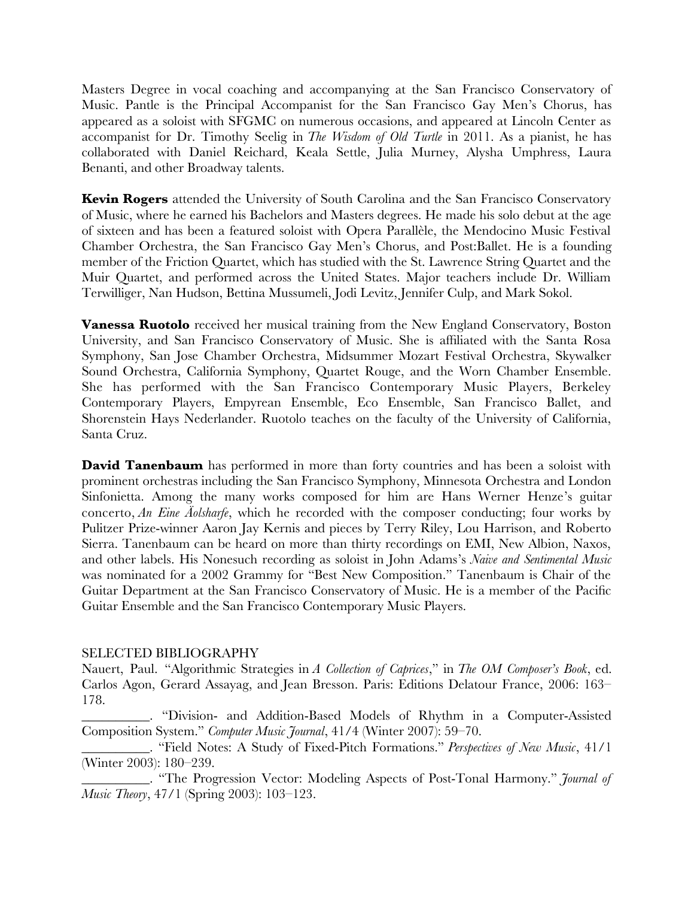Masters Degree in vocal coaching and accompanying at the San Francisco Conservatory of Music. Pantle is the Principal Accompanist for the San Francisco Gay Men's Chorus, has appeared as a soloist with SFGMC on numerous occasions, and appeared at Lincoln Center as accompanist for Dr. Timothy Seelig in *The Wisdom of Old Turtle* in 2011. As a pianist, he has collaborated with Daniel Reichard, Keala Settle, Julia Murney, Alysha Umphress, Laura Benanti, and other Broadway talents.

**Kevin Rogers** attended the University of South Carolina and the San Francisco Conservatory of Music, where he earned his Bachelors and Masters degrees. He made his solo debut at the age of sixteen and has been a featured soloist with Opera Parallèle, the Mendocino Music Festival Chamber Orchestra, the San Francisco Gay Men's Chorus, and Post:Ballet. He is a founding member of the Friction Quartet, which has studied with the St. Lawrence String Quartet and the Muir Quartet, and performed across the United States. Major teachers include Dr. William Terwilliger, Nan Hudson, Bettina Mussumeli, Jodi Levitz, Jennifer Culp, and Mark Sokol.

**Vanessa Ruotolo** received her musical training from the New England Conservatory, Boston University, and San Francisco Conservatory of Music. She is affliated with the Santa Rosa Symphony, San Jose Chamber Orchestra, Midsummer Mozart Festival Orchestra, Skywalker Sound Orchestra, California Symphony, Quartet Rouge, and the Worn Chamber Ensemble. She has performed with the San Francisco Contemporary Music Players, Berkeley Contemporary Players, Empyrean Ensemble, Eco Ensemble, San Francisco Ballet, and Shorenstein Hays Nederlander. Ruotolo teaches on the faculty of the University of California, Santa Cruz.

**David Tanenbaum** has performed in more than forty countries and has been a soloist with prominent orchestras including the San Francisco Symphony, Minnesota Orchestra and London Sinfonietta. Among the many works composed for him are Hans Werner Henze's guitar concerto, *An Eine Äolsharfe*, which he recorded with the composer conducting; four works by Pulitzer Prize-winner Aaron Jay Kernis and pieces by Terry Riley, Lou Harrison, and Roberto Sierra. Tanenbaum can be heard on more than thirty recordings on EMI, New Albion, Naxos, and other labels. His Nonesuch recording as soloist in John Adams's *Naive and Sentimental Music* was nominated for a 2002 Grammy for "Best New Composition." Tanenbaum is Chair of the Guitar Department at the San Francisco Conservatory of Music. He is a member of the Pacifc Guitar Ensemble and the San Francisco Contemporary Music Players.

# SELECTED BIBLIOGRAPHY

Nauert, Paul. "Algorithmic Strategies in *A Collection of Caprices*," in *The OM Composer's Book*, ed. Carlos Agon, Gerard Assayag, and Jean Bresson. Paris: Editions Delatour France, 2006: 163– 178.

\_\_\_\_\_\_\_\_\_\_. "Division- and Addition-Based Models of Rhythm in a Computer-Assisted Composition System." *Computer Music Journal*, 41/4 (Winter 2007): 59–70.

\_\_\_\_\_\_\_\_\_\_. "Field Notes: A Study of Fixed-Pitch Formations." *Perspectives of New Music*, 41/1 (Winter 2003): 180–239.

\_\_\_\_\_\_\_\_\_\_. "The Progression Vector: Modeling Aspects of Post-Tonal Harmony." *Journal of Music Theory*, 47/1 (Spring 2003): 103–123.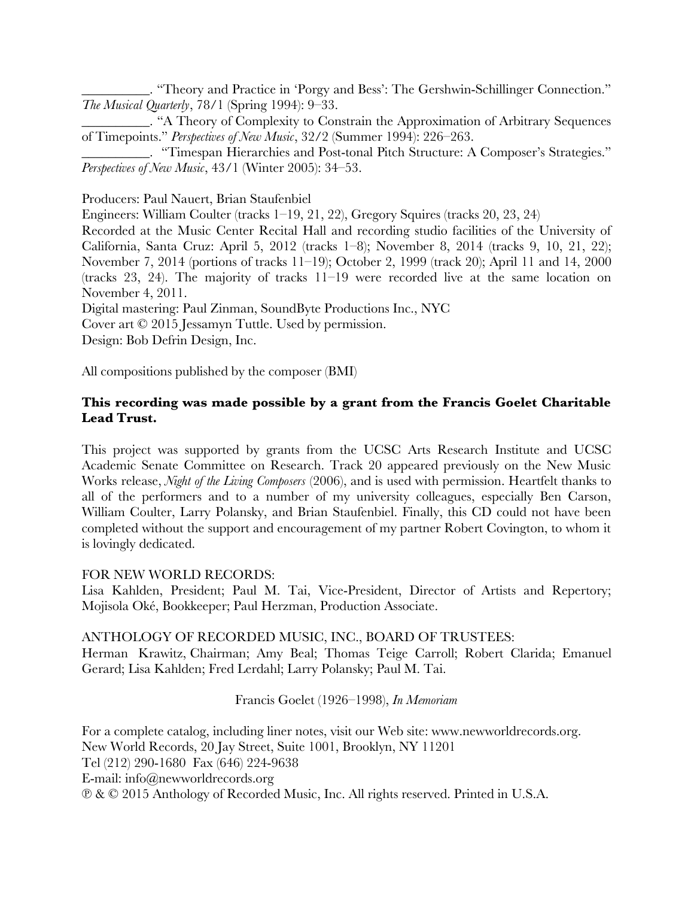\_\_\_\_\_\_\_\_\_\_. "Theory and Practice in 'Porgy and Bess': The Gershwin-Schillinger Connection." *The Musical Quarterly*, 78/1 (Spring 1994): 9–33.

\_\_\_\_\_\_\_\_\_\_. "A Theory of Complexity to Constrain the Approximation of Arbitrary Sequences of Timepoints." *Perspectives of New Music*, 32/2 (Summer 1994): 226–263.

\_\_\_\_\_\_\_\_\_\_. "Timespan Hierarchies and Post-tonal Pitch Structure: A Composer's Strategies." *Perspectives of New Music*, 43/1 (Winter 2005): 34–53.

Producers: Paul Nauert, Brian Staufenbiel

Engineers: William Coulter (tracks 1–19, 21, 22), Gregory Squires (tracks 20, 23, 24)

Recorded at the Music Center Recital Hall and recording studio facilities of the University of California, Santa Cruz: April 5, 2012 (tracks 1–8); November 8, 2014 (tracks 9, 10, 21, 22); November 7, 2014 (portions of tracks 11–19); October 2, 1999 (track 20); April 11 and 14, 2000 (tracks 23, 24). The majority of tracks 11–19 were recorded live at the same location on November 4, 2011.

Digital mastering: Paul Zinman, SoundByte Productions Inc., NYC

Cover art © 2015 Jessamyn Tuttle. Used by permission.

Design: Bob Defrin Design, Inc.

All compositions published by the composer (BMI)

# **This recording was made possible by a grant from the Francis Goelet Charitable Lead Trust.**

This project was supported by grants from the UCSC Arts Research Institute and UCSC Academic Senate Committee on Research. Track 20 appeared previously on the New Music Works release, *Night of the Living Composers* (2006), and is used with permission. Heartfelt thanks to all of the performers and to a number of my university colleagues, especially Ben Carson, William Coulter, Larry Polansky, and Brian Staufenbiel. Finally, this CD could not have been completed without the support and encouragement of my partner Robert Covington, to whom it is lovingly dedicated.

# FOR NEW WORLD RECORDS:

Lisa Kahlden, President; Paul M. Tai, Vice-President, Director of Artists and Repertory; Mojisola Oké, Bookkeeper; Paul Herzman, Production Associate.

# ANTHOLOGY OF RECORDED MUSIC, INC., BOARD OF TRUSTEES:

Herman Krawitz, Chairman; Amy Beal; Thomas Teige Carroll; Robert Clarida; Emanuel Gerard; Lisa Kahlden; Fred Lerdahl; Larry Polansky; Paul M. Tai.

# Francis Goelet (1926–1998), *In Memoriam*

For a complete catalog, including liner notes, visit our Web site: www.newworldrecords.org. New World Records, 20 Jay Street, Suite 1001, Brooklyn, NY 11201 Tel (212) 290-1680 Fax (646) 224-9638 E-mail: info@newworldrecords.org ℗ & © 2015 Anthology of Recorded Music, Inc. All rights reserved. Printed in U.S.A.